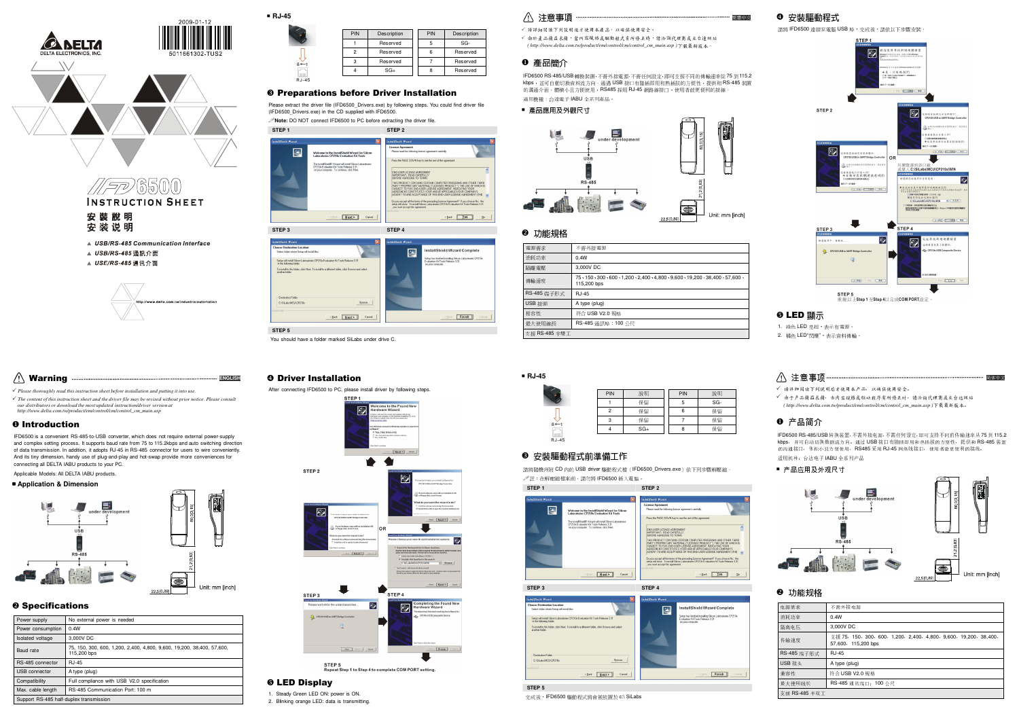



#### Preparations before Driver Installation

 Please extract the driver file (IFD6500\_Drivers.exe) by following steps. You could find driver file (IFD6500\_Drivers.exe) in the CD supplied with IFD6500.

**Note:** DO NOT connect IFD6500 to PC before extracting the driver file.



#### 注意事項

✔ 请详细阅读下列说明後才使用本產品,以確保使用安全。

 由於產品精益求精,當內容規格或驅動程式有所修正時,請洽詢代理商或至台達網站*( http://www.delta.com.tw/product/em/control/cm/control\_cm\_main.asp )*下載最新版本。

## ❶ 產品簡介

 IFD6500 RS-485/USB 轉換裝置,不需外接電源,不需任何設定,即可支援不同的傳輸速率從 <sup>75</sup> <sup>到</sup> 115.2 kbps,並可自動切換資料流方向。通過 USB 接口有隨插即用和熱插拔的方便性,提供和 RS-485 裝置<br>的溝通介面,體積小且方便使用,RS485 採用 RJ-45 網路線接口,使用者能更便利的接線。<br>-適用機種:台達電子 IABU 全系列產品。

#### ■ 產品應用及外觀尺寸



# ❷ 功能規格<br>——————

| 電源需求          | 不需外接電源                                                                                           |  |
|---------------|--------------------------------------------------------------------------------------------------|--|
| 消耗功率          | 0.4W                                                                                             |  |
| 隔離電壓          | 3,000V DC                                                                                        |  |
| 傳輸涑度          | 75 - 150 - 300 - 600 - 1,200 - 2,400 - 4,800 - 9,600 - 19,200 - 38,400 - 57,600 -<br>115,200 bps |  |
| RS-485 端子形式   | RJ-45                                                                                            |  |
| USB 接頭        | A type (plug)                                                                                    |  |
| 相容性           | 符合 USB V2.0 規格                                                                                   |  |
| 最大使用線長        | RS-485 涌訊埠: 100 公尺                                                                               |  |
| 支援 RS-485 半雙工 |                                                                                                  |  |

# **RJ-45**

|                | PIN | 說明    | PIN | 說明  |
|----------------|-----|-------|-----|-----|
|                |     | 保留    |     | SG- |
|                |     | 保留    | 6   | 保留  |
| $8 \leftarrow$ | o   | 保留    |     | 保留  |
| 0000           |     | $SG+$ | 8   | 保留  |

## ❸ 安裝驅動程式前準備工作<br>

 請將隨機所附 CD 內的 USB driver 驅動程式檔(IFD6500\_Drivers.exe)依下列步驟解壓縮。  $\mathscr{O}$ 註:在解壓縮檔案前,請勿將 IFD6500 插入電腦。<br>.



#### **tallShield Wizard Complete** 图 .<br>Setup has finished installing Silicon Laboratories CP210x<br>Evaluation Kit Tools Release 3.31 Setup will install Sil To install to the C/SLabsWDJ Browne... (Back Next> Cancel  $Finish$

#### **STEP 5**

完成後,IFD6500 驅動程式將會被放置於 c:\ SiLabs

## **❹ 安裝驅動程式**

繁體中文

請將 IFD6500 連接至電腦 USB 埠,完成後,請依以下步驟安裝。



STEP 5<br>重複以上Step 1 至Step 4以完成COM PORT設定。

## ❺ LED 顯示<br>◆ \* \* \* \* \* \*

1. 綠色 LED 亮起,表示有電源。<br>.  $\overline{2}$ 

| L. |  |  | 橘色 LED"閃爍",表示資料傳輸。 |  |
|----|--|--|--------------------|--|
|    |  |  |                    |  |

| √ 请详细阅读下列说明后才使用本产品, 以确保使用安全。              |  |
|-------------------------------------------|--|
| √ 由于产品精益求精, 当内容规格或服动程序有所修正时, 请洽询代理商虚至台达网站 |  |

由于产品精益求精,当内容规格或驱动程序有所修正时,请洽询代理商或至台达网站*( http://www.delta.com.tw/product/em/control/cm/control\_cm\_main.asp )*下载最新版本。

# ❶ 产品简介

 IFD6500 RS-485/USB 转换装置,不需外接电源,不需任何设定,即可支持不同的传输速率从**IFD6500 RS-485/USB** 转换装置,不需外接电源, 不需任何设定,即可支持不同的传输速率从 75 到 115.2<br>kbps, 并可自动切换数据流方向。通过 USB 接口有節插即用和热插放的方便性,提供和 RS-485 装置<br>的动通换口,仔细办具主顾纯用, DS485 W用 D L45 网络纳换口,供用主换面颜利的换换 的沟通接口,体积小且方便使用,RS485 采用 RJ-45 网络线接口,使用者能更便利的接线。<br>———————————————————— 适用机种:台达电子 IABU 全系列产品

■ 产品应用及外观尺寸



## ❷ 功能规格<br>—————

| 电源需求           | 不需外接电源                                                                                   |  |
|----------------|------------------------------------------------------------------------------------------|--|
| 消耗功率           | 0.4W                                                                                     |  |
| 隔离电压           | 3,000V DC                                                                                |  |
| 传输速度           | 支援 75, 150, 300, 600, 1,200, 2,400, 4,800, 9,600, 19,200, 38,400,<br>57.600, 115.200 bps |  |
| RS-485 端子形式    | RJ-45                                                                                    |  |
| USB 接头         | A type (plug)                                                                            |  |
| 兼容性            | 符合 USB V2.0 规格                                                                           |  |
| 最大使用线长         | RS-485 通讯端口: 100 公尺                                                                      |  |
| 支援 RS-485 半双 T |                                                                                          |  |

#### $\wedge$  Warning **ENGLISH**

//*FP*/6500

安裝說明

安装说明

▲ USB/RS-485 通訊介面

▲ USE/RS-485 通讯介面

**INSTRUCTION SHEET** 

▲ USB/RS-485 Communication Interface

 *Please thoroughly read this instruction sheet before installation and putting it into use. The content of this instruction sheet and the driver file may be revised without prior notice. Please consult our distributors or download the most updated instruction/driver version at http://www.delta.com.tw/product/em/control/cm/control\_cm\_main.asp*

# O Introduction

IFD6500 is a convenient RS-485-to-USB converter, which does not require external power-supply and complex setting process. It supports baud rate from 75 to 115.2kbps and auto switching direction of data transmission. In addition, it adopts RJ-45 in RS-485 connector for users to wire conveniently.And its tiny dimension, handy use of plug-and-play and hot-swap provide more conveniences for connecting all DELTA IABU products to your PC.

Applicable Models: All DELTA IABU products.

*CANELTA* 

 $\sqrt{}$ 

# **Application & Dimension**



# **O** Specifications

| Power supply                            | No external power is needed                                                           |  |
|-----------------------------------------|---------------------------------------------------------------------------------------|--|
| Power consumption                       | 0.4W                                                                                  |  |
| Isolated voltage                        | 3,000V DC                                                                             |  |
| <b>Baud rate</b>                        | 75. 150. 300. 600. 1.200. 2.400. 4.800. 9.600. 19.200. 38.400. 57.600.<br>115,200 bps |  |
| RS-485 connector                        | $R.I-45$                                                                              |  |
| <b>USB</b> connector                    | A type (plug)                                                                         |  |
| Compatibility                           | Full compliance with USB V2.0 specification                                           |  |
| Max. cable length                       | RS-485 Communication Port: 100 m                                                      |  |
| Support RS-485 half-duplex transmission |                                                                                       |  |



You should have a folder marked SiLabs under drive C.





STEP 5<br>Repeat Step 1 to Step 4 to complete COM PORT setting.

### **O LED Display**

1. Steady Green LED ON: power is ON. 2. Blinking orange LED: data is transmitting.

#### **O Driver Installation** After connecting IFD6500 to PC, please install driver by following steps.

**STEP 5**